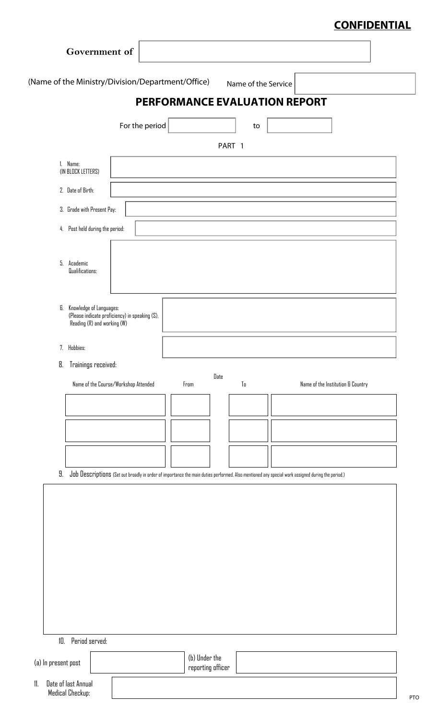# **CONFIDENTIAL**

| <b>PERFORMANCE EVALUATION REPORT</b><br>to<br>PART 1<br>Date<br>$\mathbb{T}_0$ | Name of the Institution & Country                                                                                                                                 |
|--------------------------------------------------------------------------------|-------------------------------------------------------------------------------------------------------------------------------------------------------------------|
|                                                                                |                                                                                                                                                                   |
|                                                                                |                                                                                                                                                                   |
|                                                                                |                                                                                                                                                                   |
|                                                                                |                                                                                                                                                                   |
|                                                                                |                                                                                                                                                                   |
|                                                                                |                                                                                                                                                                   |
|                                                                                |                                                                                                                                                                   |
|                                                                                |                                                                                                                                                                   |
|                                                                                |                                                                                                                                                                   |
|                                                                                |                                                                                                                                                                   |
|                                                                                |                                                                                                                                                                   |
|                                                                                |                                                                                                                                                                   |
|                                                                                |                                                                                                                                                                   |
|                                                                                |                                                                                                                                                                   |
|                                                                                |                                                                                                                                                                   |
|                                                                                |                                                                                                                                                                   |
|                                                                                |                                                                                                                                                                   |
|                                                                                |                                                                                                                                                                   |
|                                                                                |                                                                                                                                                                   |
|                                                                                |                                                                                                                                                                   |
|                                                                                |                                                                                                                                                                   |
|                                                                                |                                                                                                                                                                   |
|                                                                                |                                                                                                                                                                   |
|                                                                                |                                                                                                                                                                   |
|                                                                                |                                                                                                                                                                   |
|                                                                                | Job Descriptions (Set out broadly in order of importance the main duties performed. Also mentioned any special work assigned during the period.)<br>(b) Under the |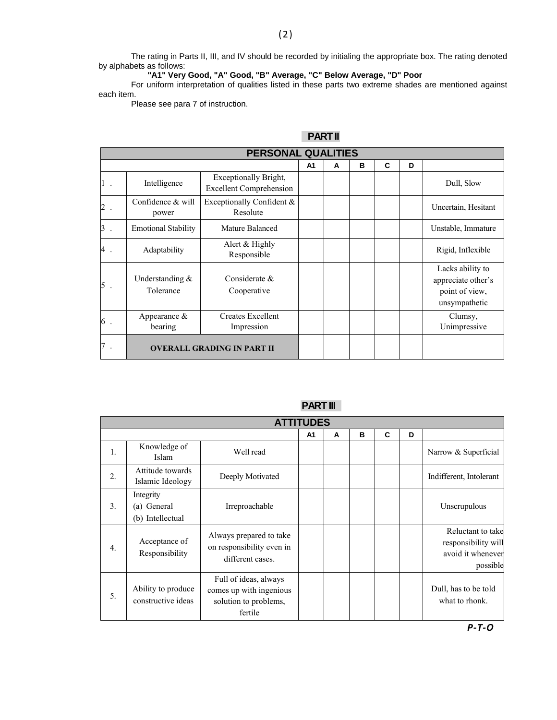The rating in Parts II, III, and IV should be recorded by initialing the appropriate box. The rating denoted by alphabets as follows:

**"A1" Very Good, "A" Good, "B" Average, "C" Below Average, "D" Poor**

For uniform interpretation of qualities listed in these parts two extreme shades are mentioned against each item.

Please see para 7 of instruction.

### **PART II**

| <b>PERSONAL QUALITIES</b>         |                                 |                                                         |                |   |   |   |   |                                                                           |
|-----------------------------------|---------------------------------|---------------------------------------------------------|----------------|---|---|---|---|---------------------------------------------------------------------------|
|                                   |                                 |                                                         | A <sub>1</sub> | A | B | C | D |                                                                           |
| 1.                                | Intelligence                    | Exceptionally Bright,<br><b>Excellent Comprehension</b> |                |   |   |   |   | Dull, Slow                                                                |
| 2                                 | Confidence & will<br>power      | Exceptionally Confident $\&$<br>Resolute                |                |   |   |   |   | Uncertain, Hesitant                                                       |
| 3                                 | <b>Emotional Stability</b>      | Mature Balanced                                         |                |   |   |   |   | Unstable, Immature                                                        |
| 4                                 | Adaptability                    | Alert & Highly<br>Responsible                           |                |   |   |   |   | Rigid, Inflexible                                                         |
| 5                                 | Understanding $\&$<br>Tolerance | Considerate &<br>Cooperative                            |                |   |   |   |   | Lacks ability to<br>appreciate other's<br>point of view,<br>unsympathetic |
| 6                                 | Appearance $\&$<br>bearing      | <b>Creates Excellent</b><br>Impression                  |                |   |   |   |   | Clumsy,<br>Unimpressive                                                   |
| <b>OVERALL GRADING IN PART II</b> |                                 |                                                         |                |   |   |   |   |                                                                           |

### **PART III**

|    | <b>ATTITUDES</b>                             |                                                                                      |    |   |   |   |   |                                                                           |
|----|----------------------------------------------|--------------------------------------------------------------------------------------|----|---|---|---|---|---------------------------------------------------------------------------|
|    |                                              |                                                                                      | A1 | A | B | C | D |                                                                           |
| 1. | Knowledge of<br><b>Islam</b>                 | Well read                                                                            |    |   |   |   |   | Narrow & Superficial                                                      |
| 2. | Attitude towards<br>Islamic Ideology         | Deeply Motivated                                                                     |    |   |   |   |   | Indifferent, Intolerant                                                   |
| 3. | Integrity<br>(a) General<br>(b) Intellectual | Irreproachable                                                                       |    |   |   |   |   | Unscrupulous                                                              |
| 4. | Acceptance of<br>Responsibility              | Always prepared to take<br>on responsibility even in<br>different cases.             |    |   |   |   |   | Reluctant to take<br>responsibility will<br>avoid it whenever<br>possible |
| 5. | Ability to produce<br>constructive ideas     | Full of ideas, always<br>comes up with ingenious<br>solution to problems,<br>fertile |    |   |   |   |   | Dull, has to be told<br>what to rhonk.                                    |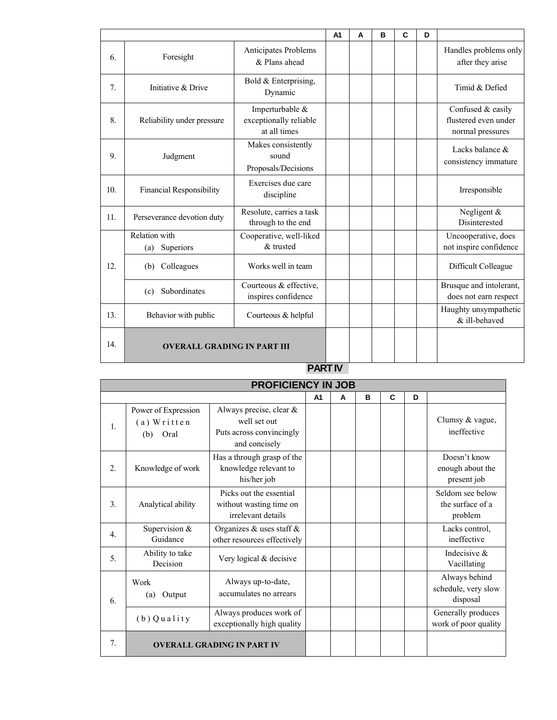|     |                                    |                                                           | A1 | A | в | C | D |                                                               |
|-----|------------------------------------|-----------------------------------------------------------|----|---|---|---|---|---------------------------------------------------------------|
| 6.  | Foresight                          | Anticipates Problems<br>& Plans ahead                     |    |   |   |   |   | Handles problems only<br>after they arise                     |
| 7.  | Initiative & Drive                 | Bold & Enterprising,<br>Dynamic                           |    |   |   |   |   | Timid & Defied                                                |
| 8.  | Reliability under pressure         | Imperturbable &<br>exceptionally reliable<br>at all times |    |   |   |   |   | Confused & easily<br>flustered even under<br>normal pressures |
| 9.  | Judgment                           | Makes consistently<br>sound<br>Proposals/Decisions        |    |   |   |   |   | Lacks balance $\&$<br>consistency immature                    |
| 10. | <b>Financial Responsibility</b>    | Exercises due care<br>discipline                          |    |   |   |   |   | Irresponsible                                                 |
| 11. | Perseverance devotion duty         | Resolute, carries a task<br>through to the end            |    |   |   |   |   | Negligent $&$<br>Disinterested                                |
|     | Relation with<br>Superiors<br>(a)  | Cooperative, well-liked<br>& trusted                      |    |   |   |   |   | Uncooperative, does<br>not inspire confidence                 |
| 12. | Colleagues<br>(b)                  | Works well in team                                        |    |   |   |   |   | Difficult Colleague                                           |
|     | Subordinates<br>(c)                | Courteous & effective,<br>inspires confidence             |    |   |   |   |   | Brusque and intolerant,<br>does not earn respect              |
| 13. | Behavior with public               | Courteous & helpful                                       |    |   |   |   |   | Haughty unsympathetic<br>& ill-behaved                        |
| 14. | <b>OVERALL GRADING IN PART III</b> |                                                           |    |   |   |   |   |                                                               |

#### **PART IV**

|                  | <b>PROFICIENCY IN JOB</b>                           |                                                                                      |                |   |   |   |   |                                                  |
|------------------|-----------------------------------------------------|--------------------------------------------------------------------------------------|----------------|---|---|---|---|--------------------------------------------------|
|                  |                                                     |                                                                                      | A <sub>1</sub> | A | B | C | D |                                                  |
| $\mathbf{1}$ .   | Power of Expression<br>$(a)$ Written<br>Oral<br>(b) | Always precise, clear &<br>well set out<br>Puts across convincingly<br>and concisely |                |   |   |   |   | Clumsy & vague,<br>ineffective                   |
| 2.               | Knowledge of work                                   | Has a through grasp of the<br>knowledge relevant to<br>his/her job                   |                |   |   |   |   | Doesn't know<br>enough about the<br>present job  |
| 3.               | Analytical ability                                  | Picks out the essential<br>without wasting time on<br>irrelevant details             |                |   |   |   |   | Seldom see below<br>the surface of a<br>problem  |
| $\overline{4}$ . | Supervision &<br>Guidance                           | Organizes & uses staff $\&$<br>other resources effectively                           |                |   |   |   |   | Lacks control,<br>ineffective                    |
| 5.               | Ability to take<br>Decision                         | Very logical & decisive                                                              |                |   |   |   |   | Indecisive $\&$<br>Vacillating                   |
| 6.               | Work<br>Output<br>(a)                               | Always up-to-date,<br>accumulates no arrears                                         |                |   |   |   |   | Always behind<br>schedule, very slow<br>disposal |
|                  | $(b)$ Quality                                       | Always produces work of<br>exceptionally high quality                                |                |   |   |   |   | Generally produces<br>work of poor quality       |
| 7.               | <b>OVERALL GRADING IN PART IV</b>                   |                                                                                      |                |   |   |   |   |                                                  |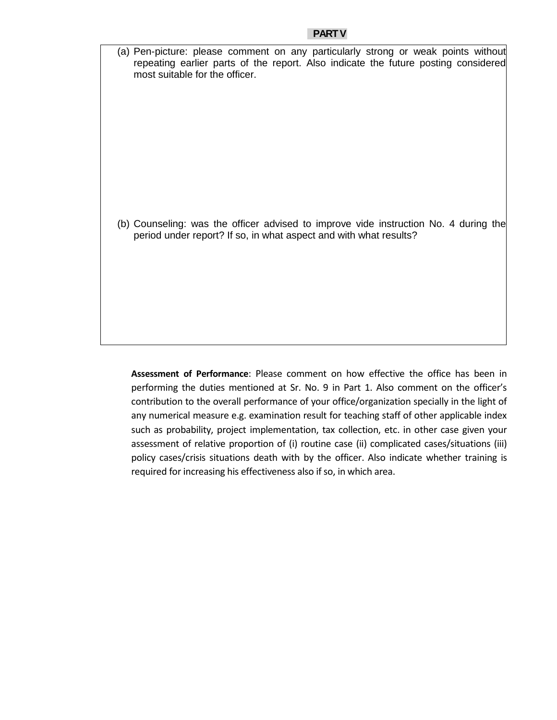(a) Pen-picture: please comment on any particularly strong or weak points without repeating earlier parts of the report. Also indicate the future posting considered most suitable for the officer.

(b) Counseling: was the officer advised to improve vide instruction No. 4 during the period under report? If so, in what aspect and with what results?

**Assessment of Performance**: Please comment on how effective the office has been in performing the duties mentioned at Sr. No. 9 in Part 1. Also comment on the officer's contribution to the overall performance of your office/organization specially in the light of any numerical measure e.g. examination result for teaching staff of other applicable index such as probability, project implementation, tax collection, etc. in other case given your assessment of relative proportion of (i) routine case (ii) complicated cases/situations (iii) policy cases/crisis situations death with by the officer. Also indicate whether training is required for increasing his effectiveness also if so, in which area.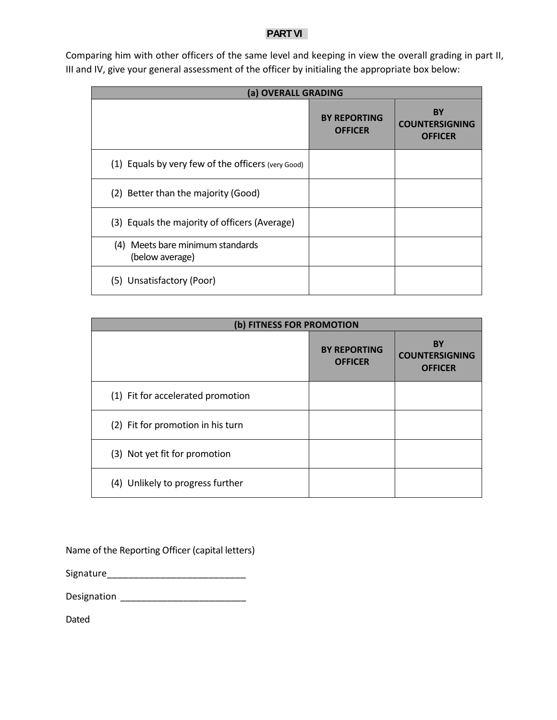#### **PART VI**

| (a) OVERALL GRADING                                 |                                       |                                                      |  |  |  |
|-----------------------------------------------------|---------------------------------------|------------------------------------------------------|--|--|--|
|                                                     | <b>BY REPORTING</b><br><b>OFFICER</b> | <b>BY</b><br><b>COUNTERSIGNING</b><br><b>OFFICER</b> |  |  |  |
| (1) Equals by very few of the officers (very Good)  |                                       |                                                      |  |  |  |
| (2) Better than the majority (Good)                 |                                       |                                                      |  |  |  |
| (3) Equals the majority of officers (Average)       |                                       |                                                      |  |  |  |
| (4) Meets bare minimum standards<br>(below average) |                                       |                                                      |  |  |  |
| (5) Unsatisfactory (Poor)                           |                                       |                                                      |  |  |  |

Comparing him with other officers of the same level and keeping in view the overall grading in part II, III and IV, give your general assessment of the officer by initialing the appropriate box below:

| (b) FITNESS FOR PROMOTION         |                                       |                                                      |
|-----------------------------------|---------------------------------------|------------------------------------------------------|
|                                   | <b>BY REPORTING</b><br><b>OFFICER</b> | <b>BY</b><br><b>COUNTERSIGNING</b><br><b>OFFICER</b> |
| (1) Fit for accelerated promotion |                                       |                                                      |
| (2) Fit for promotion in his turn |                                       |                                                      |
| (3) Not yet fit for promotion     |                                       |                                                      |
| (4) Unlikely to progress further  |                                       |                                                      |

Name of the Reporting Officer (capital letters)

Signature\_\_\_\_\_\_\_\_\_\_\_\_\_\_\_\_\_\_\_\_\_\_\_\_\_\_

Designation \_\_\_\_\_\_\_\_\_\_\_\_\_\_\_\_\_\_\_\_\_\_\_\_

Dated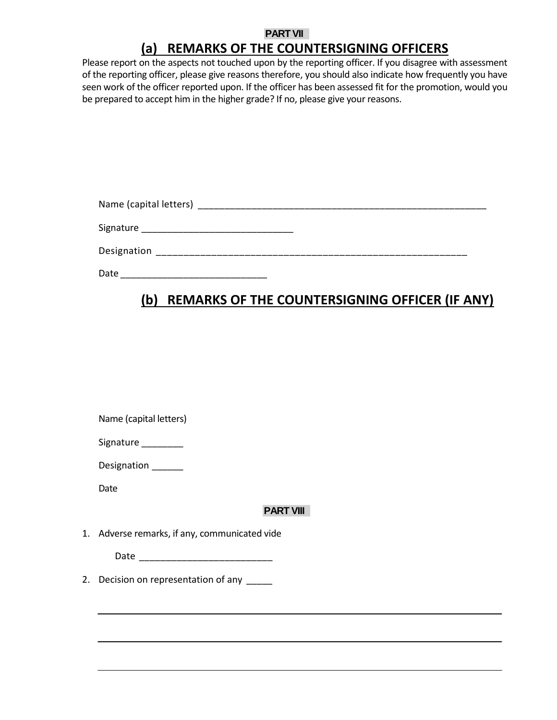### **PART VII**

## **(a) REMARKS OF THE COUNTERSIGNING OFFICERS**

Please report on the aspects not touched upon by the reporting officer. If you disagree with assessment of the reporting officer, please give reasons therefore, you should also indicate how frequently you have seen work of the officer reported upon. If the officer has been assessed fit for the promotion, would you be prepared to accept him in the higher grade? If no, please give your reasons.

| Name (capital letters) |  |
|------------------------|--|
| Signature              |  |
| Designation            |  |

Date \_\_\_\_\_\_\_\_\_\_\_\_\_\_\_\_\_\_\_\_\_\_\_\_\_\_\_\_

## **(b) REMARKS OF THE COUNTERSIGNING OFFICER (IF ANY)**

|  | Name (capital letters) |
|--|------------------------|
|  |                        |

| Signature |  |
|-----------|--|
|-----------|--|

Designation \_\_\_\_\_\_

Date

### **PART VIII**

1. Adverse remarks, if any, communicated vide

Date \_\_\_\_\_\_\_\_\_\_\_\_\_\_\_\_\_\_\_\_\_\_\_\_\_

2. Decision on representation of any \_\_\_\_\_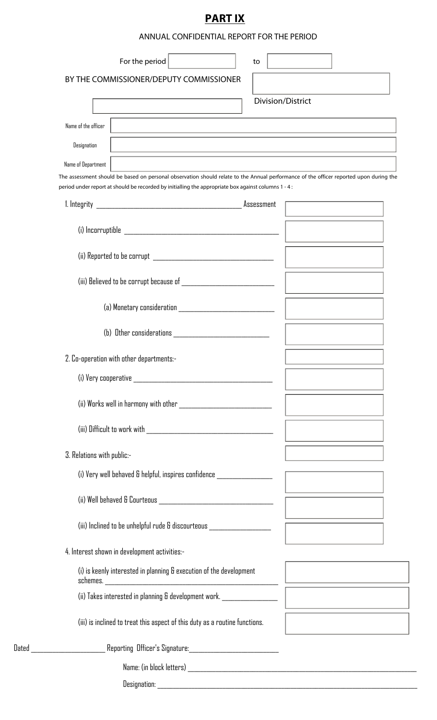# **PART IX**

ANNUAL CONFIDENTIAL REPORT FOR THE PERIOD

| For the period                                                                                                                                                                                                                                 | to |                   |  |
|------------------------------------------------------------------------------------------------------------------------------------------------------------------------------------------------------------------------------------------------|----|-------------------|--|
| BY THE COMMISSIONER/DEPUTY COMMISSIONER                                                                                                                                                                                                        |    |                   |  |
|                                                                                                                                                                                                                                                |    | Division/District |  |
| Name of the officer                                                                                                                                                                                                                            |    |                   |  |
| Designation                                                                                                                                                                                                                                    |    |                   |  |
| Name of Department                                                                                                                                                                                                                             |    |                   |  |
| The assessment should be based on personal observation should relate to the Annual performance of the officer reported upon during the<br>period under report at should be recorded by initialling the appropriate box against columns 1 - 4 : |    |                   |  |
|                                                                                                                                                                                                                                                |    |                   |  |
|                                                                                                                                                                                                                                                |    |                   |  |
|                                                                                                                                                                                                                                                |    |                   |  |
|                                                                                                                                                                                                                                                |    |                   |  |
| (a) Monetary consideration and a series of the contract of the contract of the contract of the contract of the                                                                                                                                 |    |                   |  |
| (b) Other considerations with a state of the constant of the constant of the constant of the constant of the constant of the constant of the constant of the constant of the constant of the constant of the constant of the c                 |    |                   |  |
| 2. Co-operation with other departments:-                                                                                                                                                                                                       |    |                   |  |
| (i) Very cooperative and the contract of the contract of the contract of the contract of the contract of the contract of the contract of the contract of the contract of the contract of the contract of the contract of the c                 |    |                   |  |
| (ii) Works well in harmony with other _____________________________                                                                                                                                                                            |    |                   |  |
|                                                                                                                                                                                                                                                |    |                   |  |
| 3. Relations with public:-                                                                                                                                                                                                                     |    |                   |  |
| (i) Very well behaved & helpful, inspires confidence ___________________                                                                                                                                                                       |    |                   |  |
|                                                                                                                                                                                                                                                |    |                   |  |
| (iii) Inclined to be unhelpful rude & discourteous __________________                                                                                                                                                                          |    |                   |  |
| 4. Interest shown in development activities:-                                                                                                                                                                                                  |    |                   |  |
| (i) is keenly interested in planning & execution of the development                                                                                                                                                                            |    |                   |  |
| (ii) Takes interested in planning & development work. _________________                                                                                                                                                                        |    |                   |  |
| (iii) is inclined to treat this aspect of this duty as a routine functions.                                                                                                                                                                    |    |                   |  |
| Dated _____________________Reporting Officer's Signature:_______________________                                                                                                                                                               |    |                   |  |
|                                                                                                                                                                                                                                                |    |                   |  |
| Designation:                                                                                                                                                                                                                                   |    |                   |  |